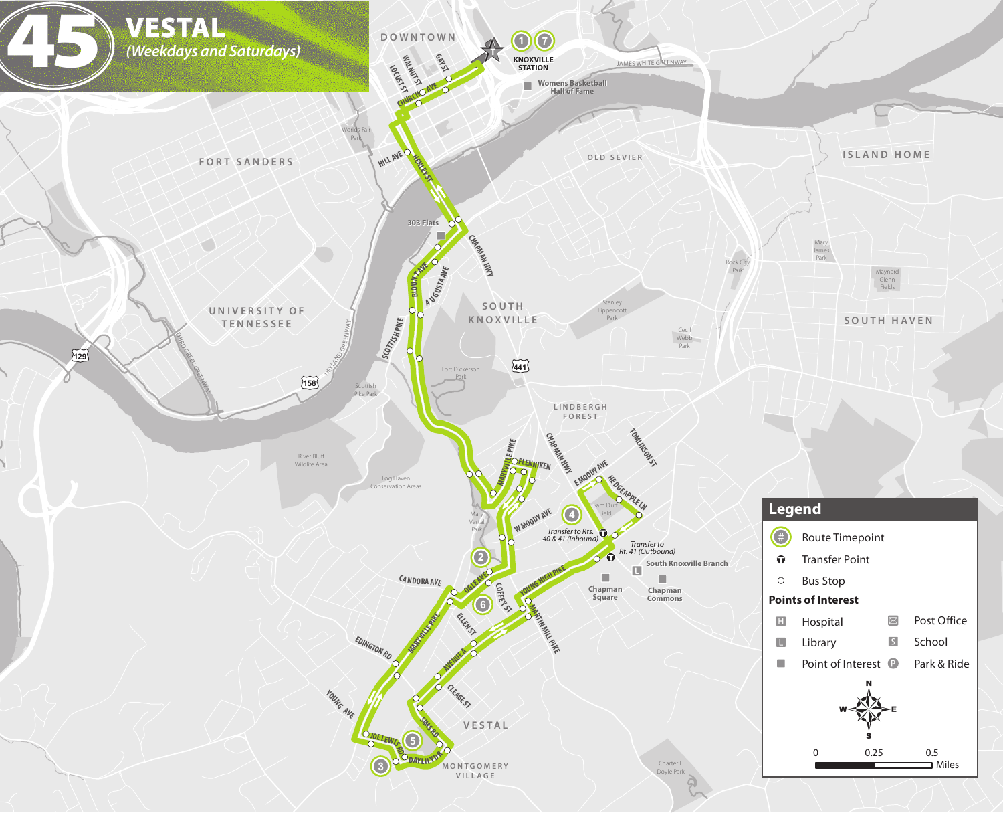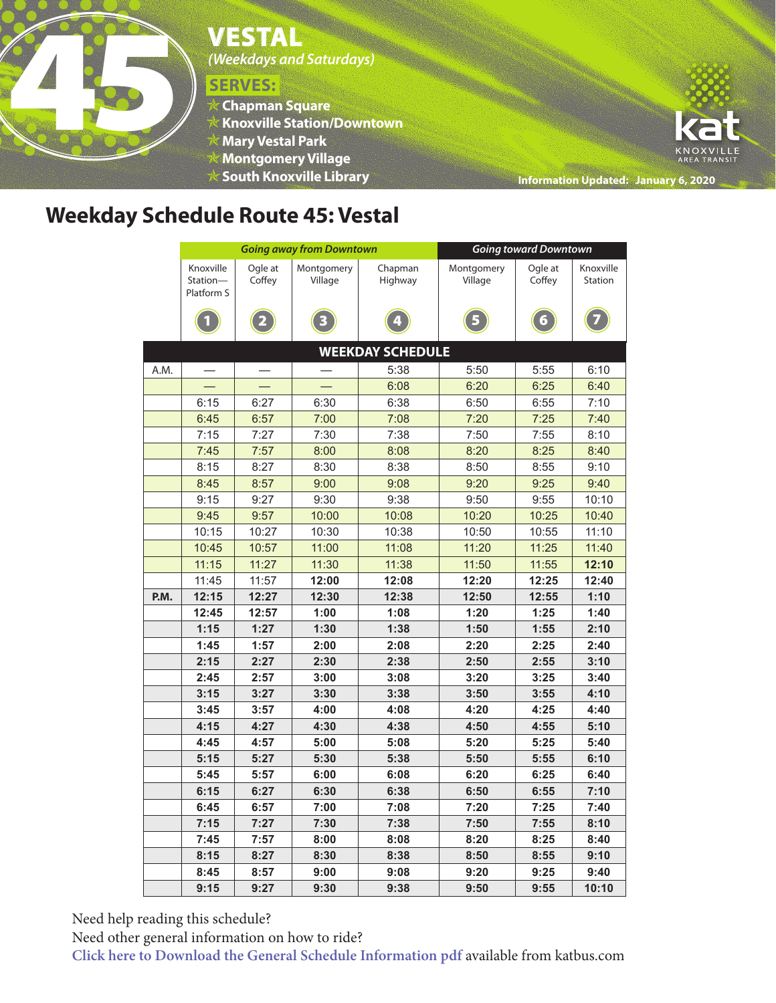# WESTAL<br>
Weekdays and<br>
Weekdays and<br>
Weekdays and<br>
SERVES:<br>
<br>
Kontgomery<br>
<br>
Montgomery

*(Weekdays and Saturdays)*

## **SERVES:**

- **Chapman Square**
- **Knoxville Station/Downtown**
- **Mary Vestal Park**
- **Montgomery Village**
- **South Knoxville Library**



**Information Updated: January 6, 2020**

## **Weekday Schedule Route 45: Vestal**

|                         |                                     |                   | <b>Going away from Downtown</b> | <b>Going toward Downtown</b> |                       |                   |                      |  |  |  |  |  |
|-------------------------|-------------------------------------|-------------------|---------------------------------|------------------------------|-----------------------|-------------------|----------------------|--|--|--|--|--|
|                         | Knoxville<br>Station-<br>Platform S | Ogle at<br>Coffey | Montgomery<br>Village           | Chapman<br>Highway           | Montgomery<br>Village | Ogle at<br>Coffey | Knoxville<br>Station |  |  |  |  |  |
|                         |                                     | 2                 | 3                               |                              | 5                     | $\boldsymbol{6}$  |                      |  |  |  |  |  |
| <b>WEEKDAY SCHEDULE</b> |                                     |                   |                                 |                              |                       |                   |                      |  |  |  |  |  |
| A.M.                    |                                     |                   |                                 | 5:38                         | 5:50                  | 5:55              | 6:10                 |  |  |  |  |  |
|                         |                                     |                   |                                 | 6:08                         | 6:20                  | 6:25              | 6:40                 |  |  |  |  |  |
|                         | 6:15                                | 6:27              | 6:30                            | 6:38                         | 6:50                  | 6:55              | 7:10                 |  |  |  |  |  |
|                         | 6:45                                | 6:57              | 7:00                            | 7:08                         | 7:20                  | 7:25              | 7:40                 |  |  |  |  |  |
|                         | 7:15                                | 7:27              | 7:30                            | 7:38                         | 7:50                  | 7:55              | 8:10                 |  |  |  |  |  |
|                         | 7:45                                | 7:57              | 8:00                            | 8:08                         | 8:20                  | 8:25              | 8:40                 |  |  |  |  |  |
|                         | 8:15                                | 8:27              | 8:30                            | 8:38                         | 8:50                  | 8:55              | 9:10                 |  |  |  |  |  |
|                         | 8:45                                | 8:57              | 9:00                            | 9:08                         | 9:20                  | 9:25              | 9:40                 |  |  |  |  |  |
|                         | 9:15                                | 9:27              | 9:30                            | 9:38                         | 9:50                  | 9:55              | 10:10                |  |  |  |  |  |
|                         | 9:45                                | 9:57              | 10:00                           | 10:08                        | 10:20                 | 10:25             | 10:40                |  |  |  |  |  |
|                         | 10:15                               | 10:27             | 10:30                           | 10:38                        | 10:50                 | 10:55             | 11:10                |  |  |  |  |  |
|                         | 10:45                               | 10:57             | 11:00                           | 11:08                        | 11:20                 | 11:25             | 11:40                |  |  |  |  |  |
|                         | 11:15                               | 11:27             | 11:30                           | 11:38                        | 11:50                 | 11:55             | 12:10                |  |  |  |  |  |
|                         | 11:45                               | 11:57             | 12:00                           | 12:08                        | 12:20                 | 12:25             | 12:40                |  |  |  |  |  |
| P.M.                    | 12:15                               | 12:27             | 12:30                           | 12:38                        | 12:50                 | 12:55             | 1:10                 |  |  |  |  |  |
|                         | 12:45                               | 12:57             | 1:00                            | 1:08                         | 1:20                  | 1:25              | 1:40                 |  |  |  |  |  |
|                         | 1:15                                | 1:27              | 1:30                            | 1:38                         | 1:50                  | 1:55              | 2:10                 |  |  |  |  |  |
|                         | 1:45                                | 1:57              | 2:00                            | 2:08                         | 2:20                  | 2:25              | 2:40                 |  |  |  |  |  |
|                         | 2:15                                | 2:27              | 2:30                            | 2:38                         | 2:50                  | 2:55              | 3:10                 |  |  |  |  |  |
|                         | 2:45                                | 2:57              | 3:00                            | 3:08                         | 3:20                  | 3:25              | 3:40                 |  |  |  |  |  |
|                         | 3:15                                | 3:27              | 3:30                            | 3:38                         | 3:50                  | 3:55              | 4:10                 |  |  |  |  |  |
|                         | 3:45                                | 3:57              | 4:00                            | 4:08                         | 4:20                  | 4:25              | 4:40                 |  |  |  |  |  |
|                         | 4:15                                | 4:27              | 4:30                            | 4:38                         | 4:50                  | 4:55              | 5:10                 |  |  |  |  |  |
|                         | 4:45                                | 4:57              | 5:00                            | 5:08                         | 5:20                  | 5:25              | 5:40                 |  |  |  |  |  |
|                         | 5:15                                | 5:27              | 5:30                            | 5:38                         | 5:50                  | 5:55              | 6:10                 |  |  |  |  |  |
|                         | 5:45                                | 5:57              | 6:00                            | 6:08                         | 6:20                  | 6:25              | 6:40                 |  |  |  |  |  |
|                         | 6:15                                | 6:27              | 6:30                            | 6:38                         | 6:50                  | 6:55              | 7:10                 |  |  |  |  |  |
|                         | 6:45                                | 6:57              | 7:00                            | 7:08                         | 7:20                  | 7:25              | 7:40                 |  |  |  |  |  |
|                         | 7:15                                | 7:27              | 7:30                            | 7:38                         | 7:50                  | 7:55              | 8:10                 |  |  |  |  |  |
|                         | 7:45                                | 7:57              | 8:00                            | 8:08                         | 8:20                  | 8:25              | 8:40                 |  |  |  |  |  |
|                         | 8:15                                | 8:27              | 8:30                            | 8:38                         | 8:50                  | 8:55              | 9:10                 |  |  |  |  |  |
|                         | 8:45                                | 8:57              | 9:00                            | 9:08                         | 9:20                  | 9:25              | 9:40                 |  |  |  |  |  |
|                         | 9:15                                | 9:27              | 9:30                            | 9:38                         | 9:50                  | 9:55              | 10:10                |  |  |  |  |  |

Need help reading this schedule?

Need other general information on how to ride?

**Click here to Download the General Schedule Information pdf** available from katbus.com